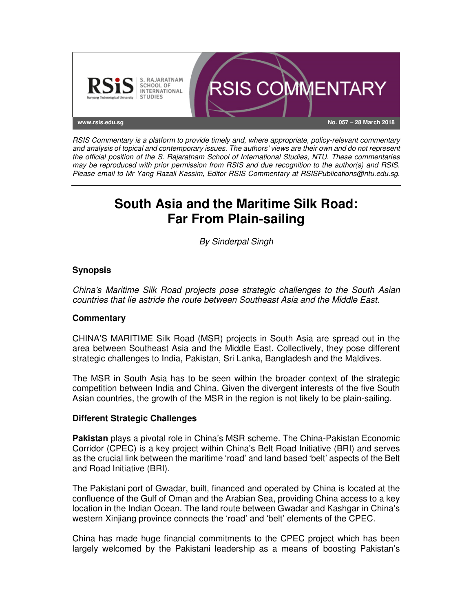

RSIS Commentary is a platform to provide timely and, where appropriate, policy-relevant commentary and analysis of topical and contemporary issues. The authors' views are their own and do not represent the official position of the S. Rajaratnam School of International Studies, NTU. These commentaries may be reproduced with prior permission from RSIS and due recognition to the author(s) and RSIS. Please email to Mr Yang Razali Kassim, Editor RSIS Commentary at RSISPublications@ntu.edu.sg.

# **South Asia and the Maritime Silk Road: Far From Plain-sailing**

By Sinderpal Singh

# **Synopsis**

China's Maritime Silk Road projects pose strategic challenges to the South Asian countries that lie astride the route between Southeast Asia and the Middle East.

# **Commentary**

CHINA'S MARITIME Silk Road (MSR) projects in South Asia are spread out in the area between Southeast Asia and the Middle East. Collectively, they pose different strategic challenges to India, Pakistan, Sri Lanka, Bangladesh and the Maldives.

The MSR in South Asia has to be seen within the broader context of the strategic competition between India and China. Given the divergent interests of the five South Asian countries, the growth of the MSR in the region is not likely to be plain-sailing.

# **Different Strategic Challenges**

**Pakistan** plays a pivotal role in China's MSR scheme. The China-Pakistan Economic Corridor (CPEC) is a key project within China's Belt Road Initiative (BRI) and serves as the crucial link between the maritime 'road' and land based 'belt' aspects of the Belt and Road Initiative (BRI).

The Pakistani port of Gwadar, built, financed and operated by China is located at the confluence of the Gulf of Oman and the Arabian Sea, providing China access to a key location in the Indian Ocean. The land route between Gwadar and Kashgar in China's western Xinjiang province connects the 'road' and 'belt' elements of the CPEC.

China has made huge financial commitments to the CPEC project which has been largely welcomed by the Pakistani leadership as a means of boosting Pakistan's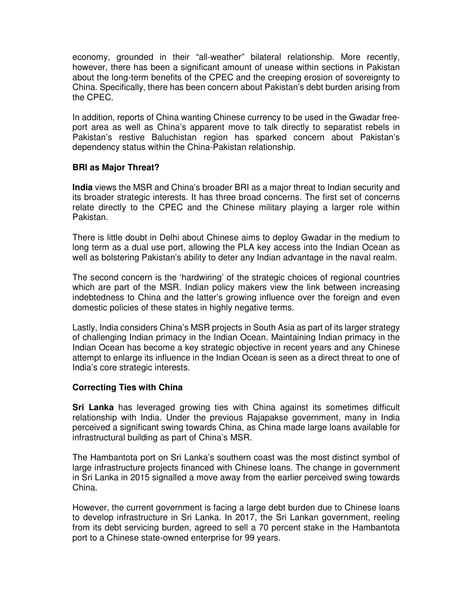economy, grounded in their "all-weather" bilateral relationship. More recently, however, there has been a significant amount of unease within sections in Pakistan about the long-term benefits of the CPEC and the creeping erosion of sovereignty to China. Specifically, there has been concern about Pakistan's debt burden arising from the CPEC.

In addition, reports of China wanting Chinese currency to be used in the Gwadar freeport area as well as China's apparent move to talk directly to separatist rebels in Pakistan's restive Baluchistan region has sparked concern about Pakistan's dependency status within the China-Pakistan relationship.

### **BRI as Major Threat?**

**India** views the MSR and China's broader BRI as a major threat to Indian security and its broader strategic interests. It has three broad concerns. The first set of concerns relate directly to the CPEC and the Chinese military playing a larger role within Pakistan.

There is little doubt in Delhi about Chinese aims to deploy Gwadar in the medium to long term as a dual use port, allowing the PLA key access into the Indian Ocean as well as bolstering Pakistan's ability to deter any Indian advantage in the naval realm.

The second concern is the 'hardwiring' of the strategic choices of regional countries which are part of the MSR. Indian policy makers view the link between increasing indebtedness to China and the latter's growing influence over the foreign and even domestic policies of these states in highly negative terms.

Lastly, India considers China's MSR projects in South Asia as part of its larger strategy of challenging Indian primacy in the Indian Ocean. Maintaining Indian primacy in the Indian Ocean has become a key strategic objective in recent years and any Chinese attempt to enlarge its influence in the Indian Ocean is seen as a direct threat to one of India's core strategic interests.

#### **Correcting Ties with China**

**Sri Lanka** has leveraged growing ties with China against its sometimes difficult relationship with India. Under the previous Rajapakse government, many in India perceived a significant swing towards China, as China made large loans available for infrastructural building as part of China's MSR.

The Hambantota port on Sri Lanka's southern coast was the most distinct symbol of large infrastructure projects financed with Chinese loans. The change in government in Sri Lanka in 2015 signalled a move away from the earlier perceived swing towards China.

However, the current government is facing a large debt burden due to Chinese loans to develop infrastructure in Sri Lanka. In 2017, the Sri Lankan government, reeling from its debt servicing burden, agreed to sell a 70 percent stake in the Hambantota port to a Chinese state-owned enterprise for 99 years.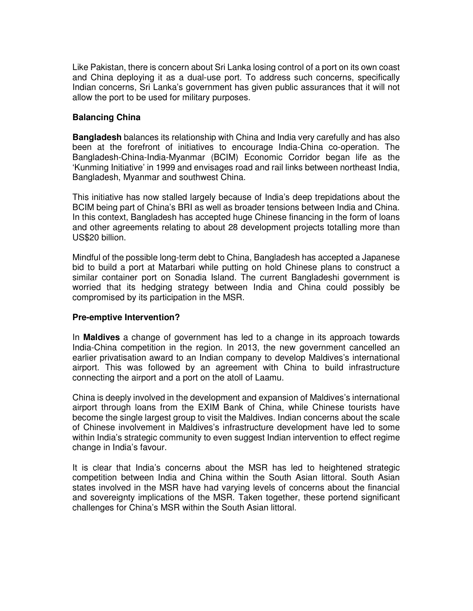Like Pakistan, there is concern about Sri Lanka losing control of a port on its own coast and China deploying it as a dual-use port. To address such concerns, specifically Indian concerns, Sri Lanka's government has given public assurances that it will not allow the port to be used for military purposes.

#### **Balancing China**

**Bangladesh** balances its relationship with China and India very carefully and has also been at the forefront of initiatives to encourage India-China co-operation. The Bangladesh-China-India-Myanmar (BCIM) Economic Corridor began life as the 'Kunming Initiative' in 1999 and envisages road and rail links between northeast India, Bangladesh, Myanmar and southwest China.

This initiative has now stalled largely because of India's deep trepidations about the BCIM being part of China's BRI as well as broader tensions between India and China. In this context, Bangladesh has accepted huge Chinese financing in the form of loans and other agreements relating to about 28 development projects totalling more than US\$20 billion.

Mindful of the possible long-term debt to China, Bangladesh has accepted a Japanese bid to build a port at Matarbari while putting on hold Chinese plans to construct a similar container port on Sonadia Island. The current Bangladeshi government is worried that its hedging strategy between India and China could possibly be compromised by its participation in the MSR.

#### **Pre-emptive Intervention?**

In **Maldives** a change of government has led to a change in its approach towards India-China competition in the region. In 2013, the new government cancelled an earlier privatisation award to an Indian company to develop Maldives's international airport. This was followed by an agreement with China to build infrastructure connecting the airport and a port on the atoll of Laamu.

China is deeply involved in the development and expansion of Maldives's international airport through loans from the EXIM Bank of China, while Chinese tourists have become the single largest group to visit the Maldives. Indian concerns about the scale of Chinese involvement in Maldives's infrastructure development have led to some within India's strategic community to even suggest Indian intervention to effect regime change in India's favour.

It is clear that India's concerns about the MSR has led to heightened strategic competition between India and China within the South Asian littoral. South Asian states involved in the MSR have had varying levels of concerns about the financial and sovereignty implications of the MSR. Taken together, these portend significant challenges for China's MSR within the South Asian littoral.